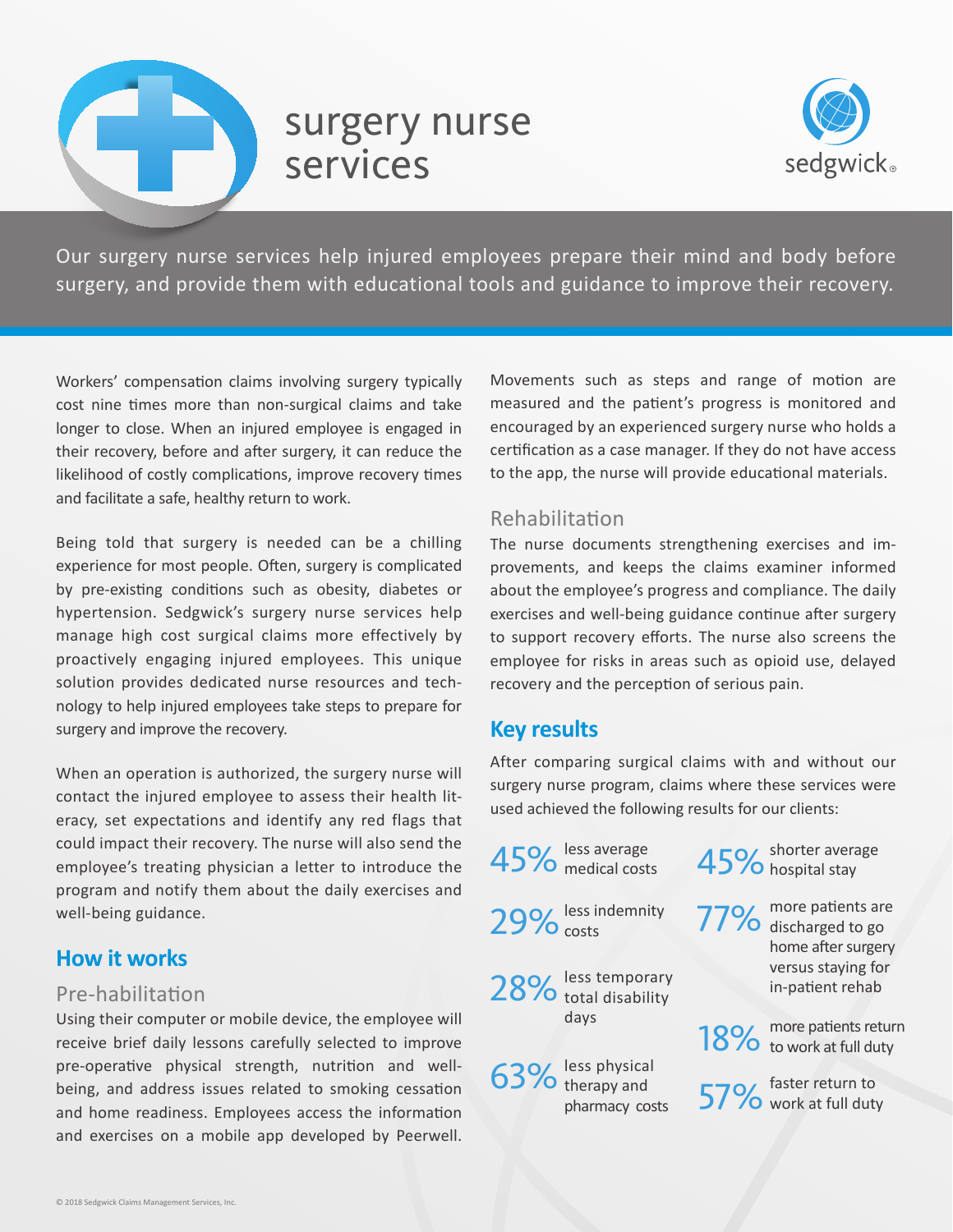

# surgery nurse services



Our surgery nurse services help injured employees prepare their mind and body before surgery, and provide them with educational tools and guidance to improve their recovery.

Workers' compensation claims involving surgery typically cost nine times more than non-surgical claims and take longer to close. When an injured employee is engaged in their recovery, before and after surgery, it can reduce the likelihood of costly complications, improve recovery times and facilitate a safe, healthy return to work.

Being told that surgery is needed can be a chilling experience for most people. Often, surgery is complicated by pre-existing conditions such as obesity, diabetes or hypertension. Sedgwick's surgery nurse services help manage high cost surgical claims more effectively by proactively engaging injured employees. This unique solution provides dedicated nurse resources and technology to help injured employees take steps to prepare for surgery and improve the recovery.

When an operation is authorized, the surgery nurse will contact the injured employee to assess their health literacy, set expectations and identify any red flags that could impact their recovery. The nurse will also send the employee's treating physician a letter to introduce the program and notify them about the daily exercises and well-being guidance.

## **How it works**

#### Pre-habilitation

Using their computer or mobile device, the employee will receive brief daily lessons carefully selected to improve pre-operative physical strength, nutrition and wellbeing, and address issues related to smoking cessation and home readiness. Employees access the information and exercises on a mobile app developed by Peerwell.

Movements such as steps and range of motion are measured and the patient's progress is monitored and encouraged by an experienced surgery nurse who holds a certification as a case manager. If they do not have access to the app, the nurse will provide educational materials.

#### Rehabilitation

The nurse documents strengthening exercises and improvements, and keeps the claims examiner informed about the employee's progress and compliance. The daily exercises and well-being guidance continue after surgery to support recovery efforts. The nurse also screens the employee for risks in areas such as opioid use, delayed recovery and the perception of serious pain.

## **Key results**

After comparing surgical claims with and without our surgery nurse program, claims where these services were used achieved the following results for our clients:

45% less average<br>
denical costs 29% less indemnity 28% less temporary days 63% less physical pharmacy costs 45% shorter average 77% more patients are<br> **77%** discharged to go home after surgery versus staying for in-patient rehab 18% more patients return<br>18% to work at full duty 57% faster return to<br>57% work at full duty